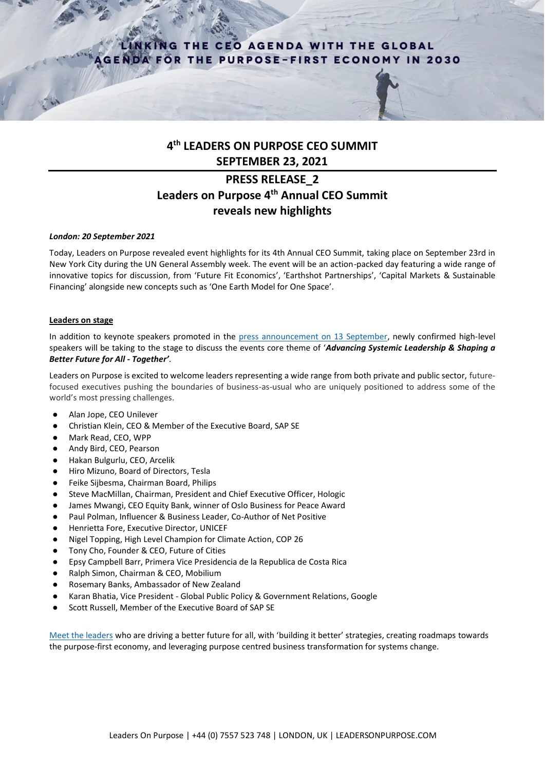## KING THE CEO AGENDA WITH THE GLOBAL **GENDA FOR THE PURPOSE-FIRST ECONOMY IN 2030**



# **PRESS RELEASE\_2 Leaders on Purpose 4th Annual CEO Summit reveals new highlights**

## *London: 20 September 2021*

Today, Leaders on Purpose revealed event highlights for its 4th Annual CEO Summit, taking place on September 23rd in New York City during the UN General Assembly week. The event will be an action-packed day featuring a wide range of innovative topics for discussion, from 'Future Fit Economics', 'Earthshot Partnerships', 'Capital Markets & Sustainable Financing' alongside new concepts such as 'One Earth Model for One Space'.

## **Leaders on stage**

In addition to keynote speakers promoted in the [press announcement on 13 September,](https://08054766-3a4c-4a3c-9f43-a67c2266e5de.filesusr.com/ugd/cec329_99dd82f23428416687603bd06c0ccc60.pdf) newly confirmed high-level speakers will be taking to the stage to discuss the events core theme of '*Advancing Systemic Leadership & Shaping a Better Future for All - Together'*.

Leaders on Purpose is excited to welcome leaders representing a wide range from both private and public sector, futurefocused executives pushing the boundaries of business-as-usual who are uniquely positioned to address some of the world's most pressing challenges.

- Alan Jope, CEO Unilever
- Christian Klein, CEO & Member of the Executive Board, SAP SE
- Mark Read, CEO, WPP
- Andy Bird, CEO, Pearson
- Hakan Bulgurlu, CEO, Arcelik
- Hiro Mizuno, Board of Directors, Tesla
- Feike Sijbesma, Chairman Board, Philips
- Steve MacMillan, Chairman, President and Chief Executive Officer, Hologic
- James Mwangi, CEO Equity Bank, winner of Oslo Business for Peace Award
- Paul Polman, Influencer & Business Leader, Co-Author of Net Positive
- Henrietta Fore, Executive Director, UNICEF
- Nigel Topping, High Level Champion for Climate Action, COP 26
- Tony Cho, Founder & CEO, Future of Cities
- Epsy Campbell Barr, Primera Vice Presidencia de la Republica de Costa Rica
- Ralph Simon, Chairman & CEO, Mobilium
- Rosemary Banks, Ambassador of New Zealand
- Karan Bhatia, Vice President Global Public Policy & Government Relations, Google
- Scott Russell, Member of the Executive Board of SAP SE

[Meet the leaders](https://www.leadersonpurpose.com/2021ceo-summit-speakers) who are driving a better future for all, with 'building it better' strategies, creating roadmaps towards the purpose-first economy, and leveraging purpose centred business transformation for systems change.